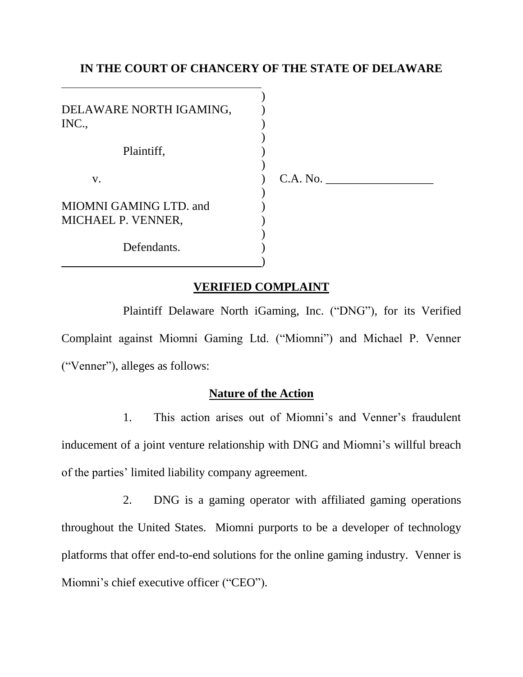### **IN THE COURT OF CHANCERY OF THE STATE OF DELAWARE**

| DELAWARE NORTH IGAMING,<br>INC.,             |          |
|----------------------------------------------|----------|
| Plaintiff,                                   |          |
| V.                                           | C.A. No. |
| MIOMNI GAMING LTD. and<br>MICHAEL P. VENNER, |          |
| Defendants.                                  |          |

### **VERIFIED COMPLAINT**

Plaintiff Delaware North iGaming, Inc. ("DNG"), for its Verified Complaint against Miomni Gaming Ltd. ("Miomni") and Michael P. Venner ("Venner"), alleges as follows:

### **Nature of the Action**

1. This action arises out of Miomni's and Venner's fraudulent inducement of a joint venture relationship with DNG and Miomni's willful breach of the parties' limited liability company agreement.

2. DNG is a gaming operator with affiliated gaming operations throughout the United States. Miomni purports to be a developer of technology platforms that offer end-to-end solutions for the online gaming industry. Venner is Miomni's chief executive officer ("CEO").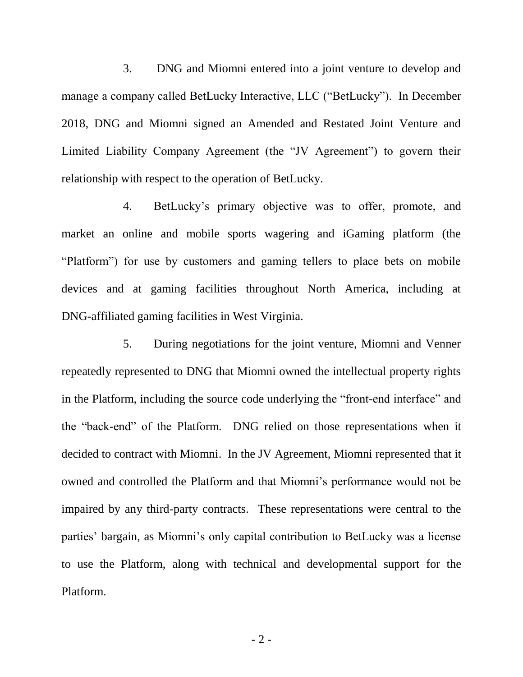3. DNG and Miomni entered into a joint venture to develop and manage a company called BetLucky Interactive, LLC ("BetLucky"). In December 2018, DNG and Miomni signed an Amended and Restated Joint Venture and Limited Liability Company Agreement (the "JV Agreement") to govern their relationship with respect to the operation of BetLucky.

4. BetLucky's primary objective was to offer, promote, and market an online and mobile sports wagering and iGaming platform (the "Platform") for use by customers and gaming tellers to place bets on mobile devices and at gaming facilities throughout North America, including at DNG-affiliated gaming facilities in West Virginia.

5. During negotiations for the joint venture, Miomni and Venner repeatedly represented to DNG that Miomni owned the intellectual property rights in the Platform, including the source code underlying the "front-end interface" and the "back-end" of the Platform. DNG relied on those representations when it decided to contract with Miomni. In the JV Agreement, Miomni represented that it owned and controlled the Platform and that Miomni's performance would not be impaired by any third-party contracts. These representations were central to the parties' bargain, as Miomni's only capital contribution to BetLucky was a license to use the Platform, along with technical and developmental support for the Platform.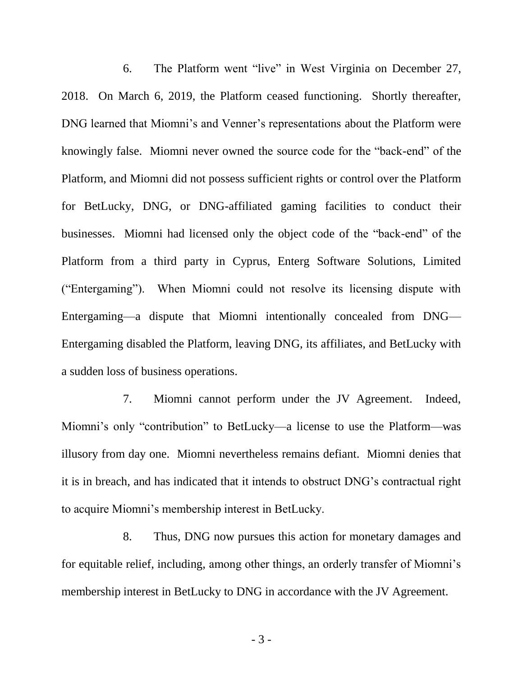6. The Platform went "live" in West Virginia on December 27, 2018. On March 6, 2019, the Platform ceased functioning. Shortly thereafter, DNG learned that Miomni's and Venner's representations about the Platform were knowingly false. Miomni never owned the source code for the "back-end" of the Platform, and Miomni did not possess sufficient rights or control over the Platform for BetLucky, DNG, or DNG-affiliated gaming facilities to conduct their businesses. Miomni had licensed only the object code of the "back-end" of the Platform from a third party in Cyprus, Enterg Software Solutions, Limited ("Entergaming"). When Miomni could not resolve its licensing dispute with Entergaming—a dispute that Miomni intentionally concealed from DNG— Entergaming disabled the Platform, leaving DNG, its affiliates, and BetLucky with a sudden loss of business operations.

7. Miomni cannot perform under the JV Agreement. Indeed, Miomni's only "contribution" to BetLucky—a license to use the Platform—was illusory from day one. Miomni nevertheless remains defiant. Miomni denies that it is in breach, and has indicated that it intends to obstruct DNG's contractual right to acquire Miomni's membership interest in BetLucky.

8. Thus, DNG now pursues this action for monetary damages and for equitable relief, including, among other things, an orderly transfer of Miomni's membership interest in BetLucky to DNG in accordance with the JV Agreement.

- 3 -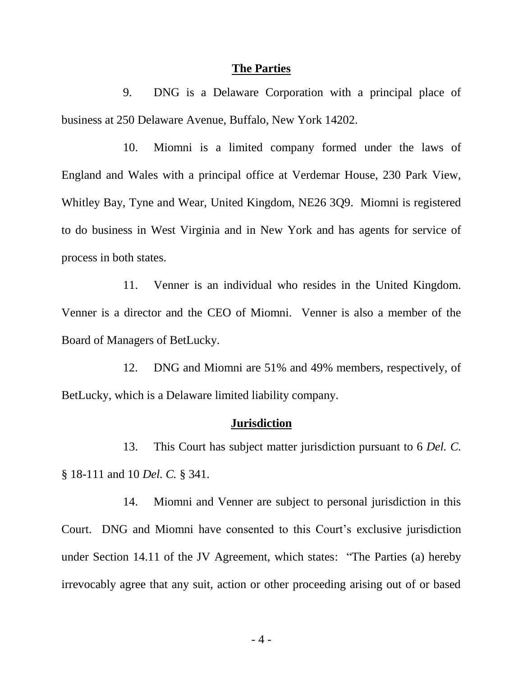#### **The Parties**

9. DNG is a Delaware Corporation with a principal place of business at 250 Delaware Avenue, Buffalo, New York 14202.

10. Miomni is a limited company formed under the laws of England and Wales with a principal office at Verdemar House, 230 Park View, Whitley Bay, Tyne and Wear, United Kingdom, NE26 3Q9. Miomni is registered to do business in West Virginia and in New York and has agents for service of process in both states.

11. Venner is an individual who resides in the United Kingdom. Venner is a director and the CEO of Miomni. Venner is also a member of the Board of Managers of BetLucky.

12. DNG and Miomni are 51% and 49% members, respectively, of BetLucky, which is a Delaware limited liability company.

#### **Jurisdiction**

13. This Court has subject matter jurisdiction pursuant to 6 *Del. C.* § 18-111 and 10 *Del. C.* § 341.

14. Miomni and Venner are subject to personal jurisdiction in this Court. DNG and Miomni have consented to this Court's exclusive jurisdiction under Section 14.11 of the JV Agreement, which states: "The Parties (a) hereby irrevocably agree that any suit, action or other proceeding arising out of or based

- 4 -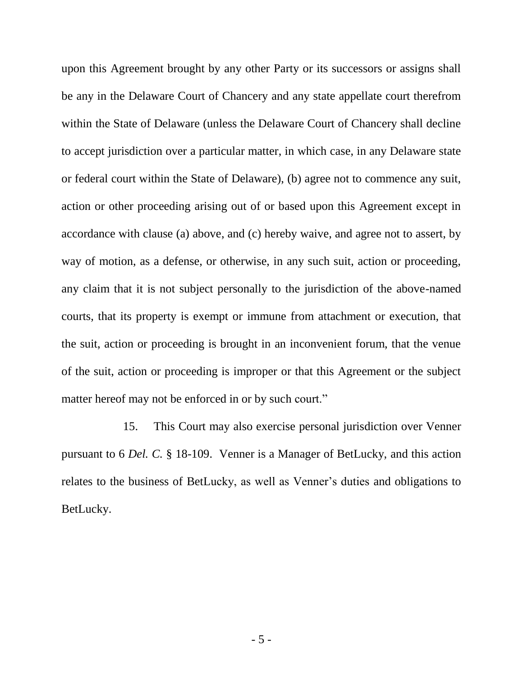upon this Agreement brought by any other Party or its successors or assigns shall be any in the Delaware Court of Chancery and any state appellate court therefrom within the State of Delaware (unless the Delaware Court of Chancery shall decline to accept jurisdiction over a particular matter, in which case, in any Delaware state or federal court within the State of Delaware), (b) agree not to commence any suit, action or other proceeding arising out of or based upon this Agreement except in accordance with clause (a) above, and (c) hereby waive, and agree not to assert, by way of motion, as a defense, or otherwise, in any such suit, action or proceeding, any claim that it is not subject personally to the jurisdiction of the above-named courts, that its property is exempt or immune from attachment or execution, that the suit, action or proceeding is brought in an inconvenient forum, that the venue of the suit, action or proceeding is improper or that this Agreement or the subject matter hereof may not be enforced in or by such court."

15. This Court may also exercise personal jurisdiction over Venner pursuant to 6 *Del. C.* § 18-109. Venner is a Manager of BetLucky, and this action relates to the business of BetLucky, as well as Venner's duties and obligations to BetLucky.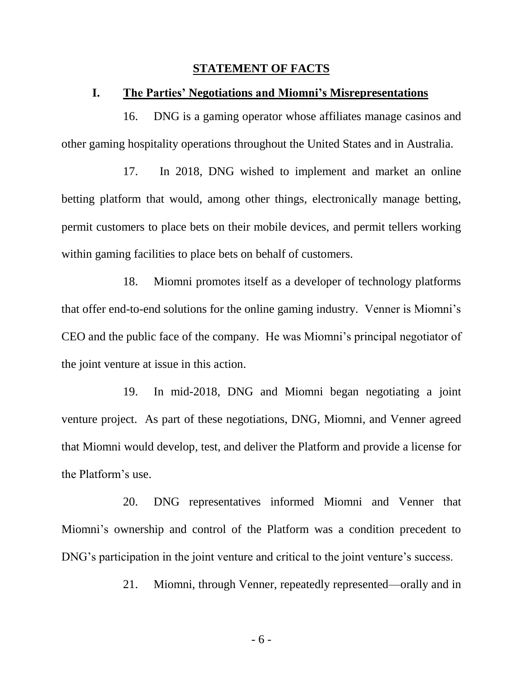#### **STATEMENT OF FACTS**

#### **I. The Parties' Negotiations and Miomni's Misrepresentations**

16. DNG is a gaming operator whose affiliates manage casinos and other gaming hospitality operations throughout the United States and in Australia.

17. In 2018, DNG wished to implement and market an online betting platform that would, among other things, electronically manage betting, permit customers to place bets on their mobile devices, and permit tellers working within gaming facilities to place bets on behalf of customers.

18. Miomni promotes itself as a developer of technology platforms that offer end-to-end solutions for the online gaming industry. Venner is Miomni's CEO and the public face of the company. He was Miomni's principal negotiator of the joint venture at issue in this action.

19. In mid-2018, DNG and Miomni began negotiating a joint venture project. As part of these negotiations, DNG, Miomni, and Venner agreed that Miomni would develop, test, and deliver the Platform and provide a license for the Platform's use.

20. DNG representatives informed Miomni and Venner that Miomni's ownership and control of the Platform was a condition precedent to DNG's participation in the joint venture and critical to the joint venture's success.

21. Miomni, through Venner, repeatedly represented—orally and in

- 6 -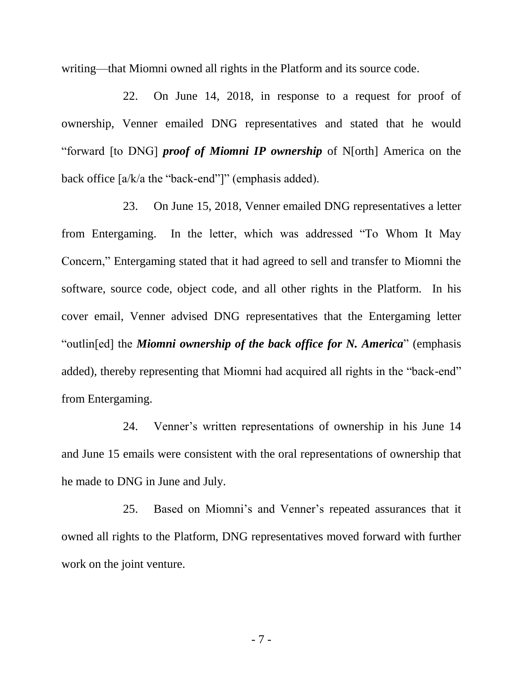writing—that Miomni owned all rights in the Platform and its source code.

22. On June 14, 2018, in response to a request for proof of ownership, Venner emailed DNG representatives and stated that he would "forward [to DNG] *proof of Miomni IP ownership* of N[orth] America on the back office [a/k/a the "back-end"]" (emphasis added).

23. On June 15, 2018, Venner emailed DNG representatives a letter from Entergaming. In the letter, which was addressed "To Whom It May Concern," Entergaming stated that it had agreed to sell and transfer to Miomni the software, source code, object code, and all other rights in the Platform. In his cover email, Venner advised DNG representatives that the Entergaming letter "outlin[ed] the *Miomni ownership of the back office for N. America*" (emphasis added), thereby representing that Miomni had acquired all rights in the "back-end" from Entergaming.

24. Venner's written representations of ownership in his June 14 and June 15 emails were consistent with the oral representations of ownership that he made to DNG in June and July.

25. Based on Miomni's and Venner's repeated assurances that it owned all rights to the Platform, DNG representatives moved forward with further work on the joint venture.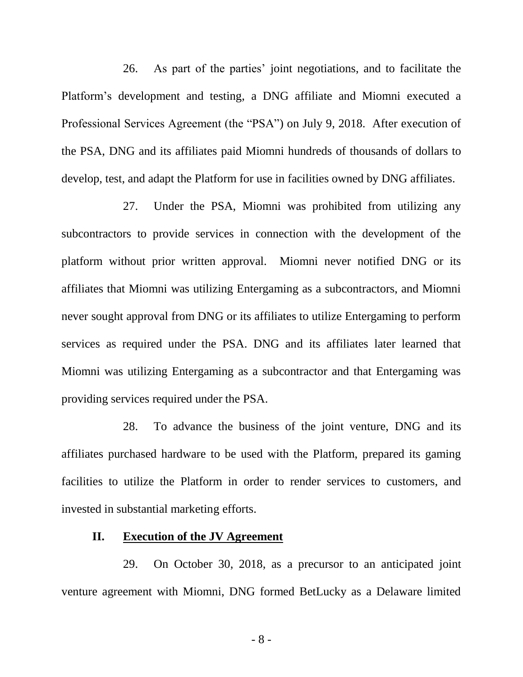26. As part of the parties' joint negotiations, and to facilitate the Platform's development and testing, a DNG affiliate and Miomni executed a Professional Services Agreement (the "PSA") on July 9, 2018. After execution of the PSA, DNG and its affiliates paid Miomni hundreds of thousands of dollars to develop, test, and adapt the Platform for use in facilities owned by DNG affiliates.

27. Under the PSA, Miomni was prohibited from utilizing any subcontractors to provide services in connection with the development of the platform without prior written approval. Miomni never notified DNG or its affiliates that Miomni was utilizing Entergaming as a subcontractors, and Miomni never sought approval from DNG or its affiliates to utilize Entergaming to perform services as required under the PSA. DNG and its affiliates later learned that Miomni was utilizing Entergaming as a subcontractor and that Entergaming was providing services required under the PSA.

28. To advance the business of the joint venture, DNG and its affiliates purchased hardware to be used with the Platform, prepared its gaming facilities to utilize the Platform in order to render services to customers, and invested in substantial marketing efforts.

### **II. Execution of the JV Agreement**

29. On October 30, 2018, as a precursor to an anticipated joint venture agreement with Miomni, DNG formed BetLucky as a Delaware limited

- 8 -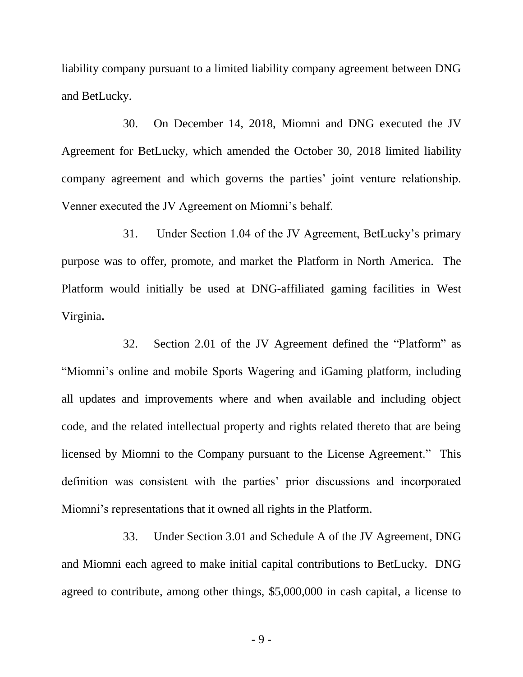liability company pursuant to a limited liability company agreement between DNG and BetLucky.

30. On December 14, 2018, Miomni and DNG executed the JV Agreement for BetLucky, which amended the October 30, 2018 limited liability company agreement and which governs the parties' joint venture relationship. Venner executed the JV Agreement on Miomni's behalf.

31. Under Section 1.04 of the JV Agreement, BetLucky's primary purpose was to offer, promote, and market the Platform in North America. The Platform would initially be used at DNG-affiliated gaming facilities in West Virginia**.**

32. Section 2.01 of the JV Agreement defined the "Platform" as "Miomni's online and mobile Sports Wagering and iGaming platform, including all updates and improvements where and when available and including object code, and the related intellectual property and rights related thereto that are being licensed by Miomni to the Company pursuant to the License Agreement." This definition was consistent with the parties' prior discussions and incorporated Miomni's representations that it owned all rights in the Platform.

33. Under Section 3.01 and Schedule A of the JV Agreement, DNG and Miomni each agreed to make initial capital contributions to BetLucky. DNG agreed to contribute, among other things, \$5,000,000 in cash capital, a license to

- 9 -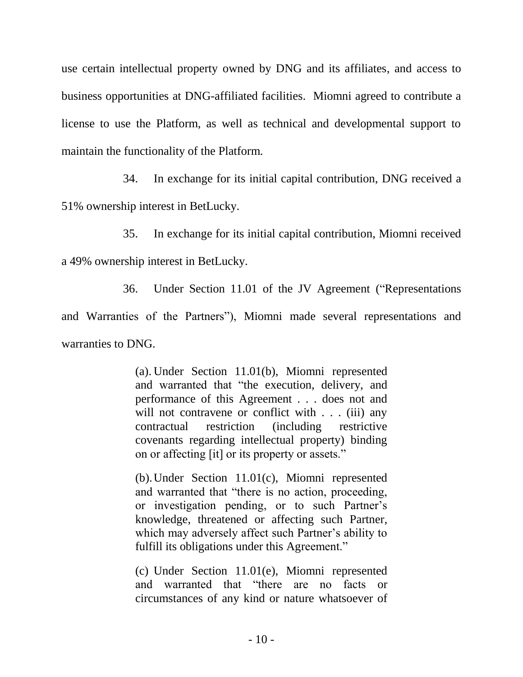use certain intellectual property owned by DNG and its affiliates, and access to business opportunities at DNG-affiliated facilities. Miomni agreed to contribute a license to use the Platform, as well as technical and developmental support to maintain the functionality of the Platform.

34. In exchange for its initial capital contribution, DNG received a

51% ownership interest in BetLucky.

35. In exchange for its initial capital contribution, Miomni received

a 49% ownership interest in BetLucky.

36. Under Section 11.01 of the JV Agreement ("Representations

and Warranties of the Partners"), Miomni made several representations and warranties to DNG.

> (a). Under Section 11.01(b), Miomni represented and warranted that "the execution, delivery, and performance of this Agreement . . . does not and will not contravene or conflict with . . . (iii) any contractual restriction (including restrictive covenants regarding intellectual property) binding on or affecting [it] or its property or assets."

> (b).Under Section 11.01(c), Miomni represented and warranted that "there is no action, proceeding, or investigation pending, or to such Partner's knowledge, threatened or affecting such Partner, which may adversely affect such Partner's ability to fulfill its obligations under this Agreement."

> (c) Under Section 11.01(e), Miomni represented and warranted that "there are no facts or circumstances of any kind or nature whatsoever of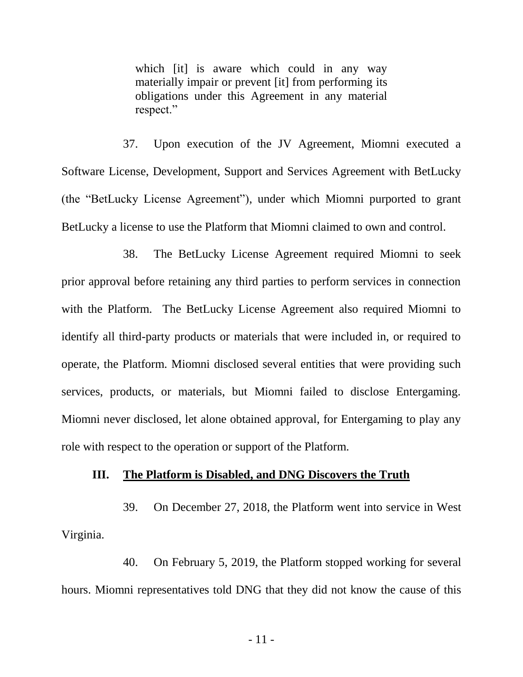which [it] is aware which could in any way materially impair or prevent [it] from performing its obligations under this Agreement in any material respect."

37. Upon execution of the JV Agreement, Miomni executed a Software License, Development, Support and Services Agreement with BetLucky (the "BetLucky License Agreement"), under which Miomni purported to grant BetLucky a license to use the Platform that Miomni claimed to own and control.

38. The BetLucky License Agreement required Miomni to seek prior approval before retaining any third parties to perform services in connection with the Platform. The BetLucky License Agreement also required Miomni to identify all third-party products or materials that were included in, or required to operate, the Platform. Miomni disclosed several entities that were providing such services, products, or materials, but Miomni failed to disclose Entergaming. Miomni never disclosed, let alone obtained approval, for Entergaming to play any role with respect to the operation or support of the Platform.

#### **III. The Platform is Disabled, and DNG Discovers the Truth**

39. On December 27, 2018, the Platform went into service in West Virginia.

40. On February 5, 2019, the Platform stopped working for several hours. Miomni representatives told DNG that they did not know the cause of this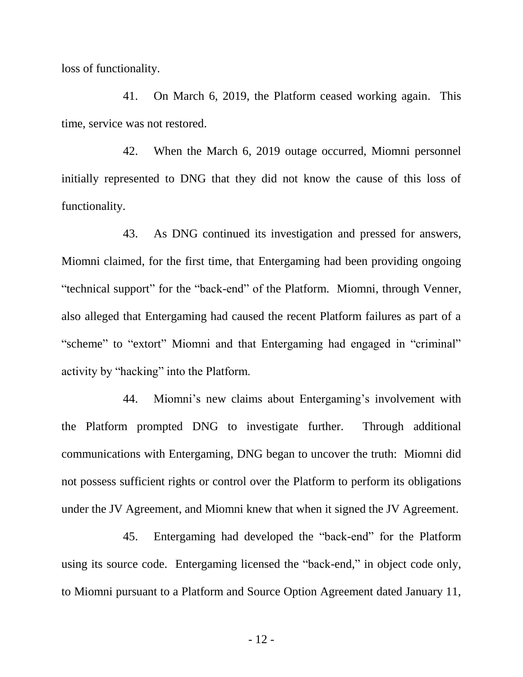loss of functionality.

41. On March 6, 2019, the Platform ceased working again. This time, service was not restored.

42. When the March 6, 2019 outage occurred, Miomni personnel initially represented to DNG that they did not know the cause of this loss of functionality.

43. As DNG continued its investigation and pressed for answers, Miomni claimed, for the first time, that Entergaming had been providing ongoing "technical support" for the "back-end" of the Platform. Miomni, through Venner, also alleged that Entergaming had caused the recent Platform failures as part of a "scheme" to "extort" Miomni and that Entergaming had engaged in "criminal" activity by "hacking" into the Platform.

44. Miomni's new claims about Entergaming's involvement with the Platform prompted DNG to investigate further. Through additional communications with Entergaming, DNG began to uncover the truth: Miomni did not possess sufficient rights or control over the Platform to perform its obligations under the JV Agreement, and Miomni knew that when it signed the JV Agreement.

45. Entergaming had developed the "back-end" for the Platform using its source code. Entergaming licensed the "back-end," in object code only, to Miomni pursuant to a Platform and Source Option Agreement dated January 11,

- 12 -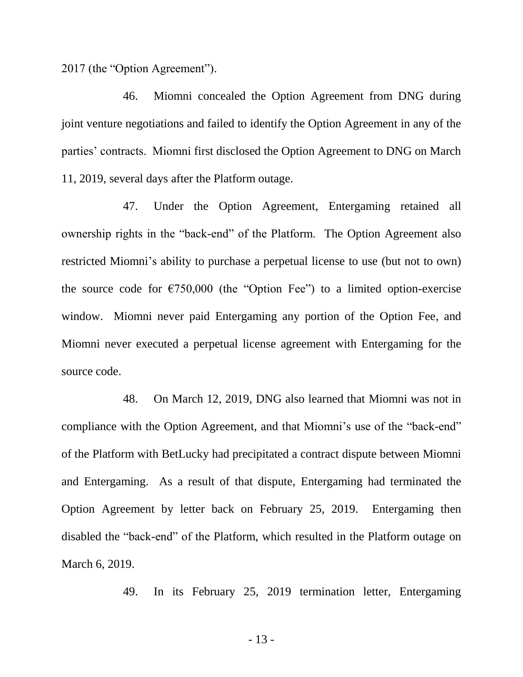2017 (the "Option Agreement").

46. Miomni concealed the Option Agreement from DNG during joint venture negotiations and failed to identify the Option Agreement in any of the parties' contracts. Miomni first disclosed the Option Agreement to DNG on March 11, 2019, several days after the Platform outage.

47. Under the Option Agreement, Entergaming retained all ownership rights in the "back-end" of the Platform. The Option Agreement also restricted Miomni's ability to purchase a perpetual license to use (but not to own) the source code for  $\epsilon$ 750,000 (the "Option Fee") to a limited option-exercise window. Miomni never paid Entergaming any portion of the Option Fee, and Miomni never executed a perpetual license agreement with Entergaming for the source code.

48. On March 12, 2019, DNG also learned that Miomni was not in compliance with the Option Agreement, and that Miomni's use of the "back-end" of the Platform with BetLucky had precipitated a contract dispute between Miomni and Entergaming. As a result of that dispute, Entergaming had terminated the Option Agreement by letter back on February 25, 2019. Entergaming then disabled the "back-end" of the Platform, which resulted in the Platform outage on March 6, 2019.

49. In its February 25, 2019 termination letter, Entergaming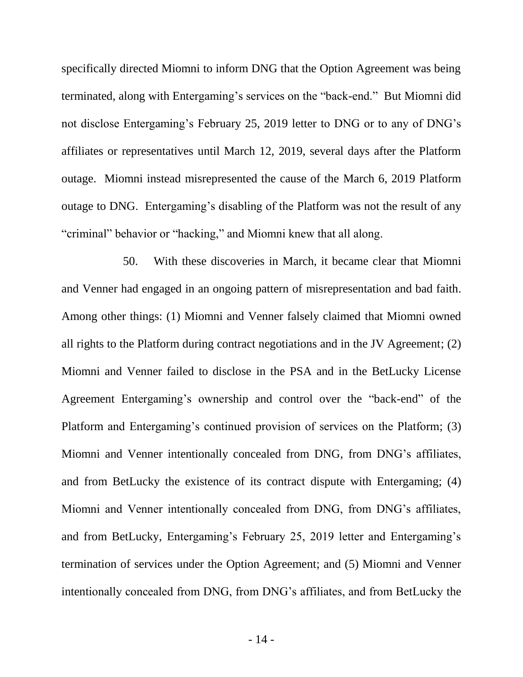specifically directed Miomni to inform DNG that the Option Agreement was being terminated, along with Entergaming's services on the "back-end." But Miomni did not disclose Entergaming's February 25, 2019 letter to DNG or to any of DNG's affiliates or representatives until March 12, 2019, several days after the Platform outage. Miomni instead misrepresented the cause of the March 6, 2019 Platform outage to DNG. Entergaming's disabling of the Platform was not the result of any "criminal" behavior or "hacking," and Miomni knew that all along.

50. With these discoveries in March, it became clear that Miomni and Venner had engaged in an ongoing pattern of misrepresentation and bad faith. Among other things: (1) Miomni and Venner falsely claimed that Miomni owned all rights to the Platform during contract negotiations and in the JV Agreement; (2) Miomni and Venner failed to disclose in the PSA and in the BetLucky License Agreement Entergaming's ownership and control over the "back-end" of the Platform and Entergaming's continued provision of services on the Platform; (3) Miomni and Venner intentionally concealed from DNG, from DNG's affiliates, and from BetLucky the existence of its contract dispute with Entergaming; (4) Miomni and Venner intentionally concealed from DNG, from DNG's affiliates, and from BetLucky, Entergaming's February 25, 2019 letter and Entergaming's termination of services under the Option Agreement; and (5) Miomni and Venner intentionally concealed from DNG, from DNG's affiliates, and from BetLucky the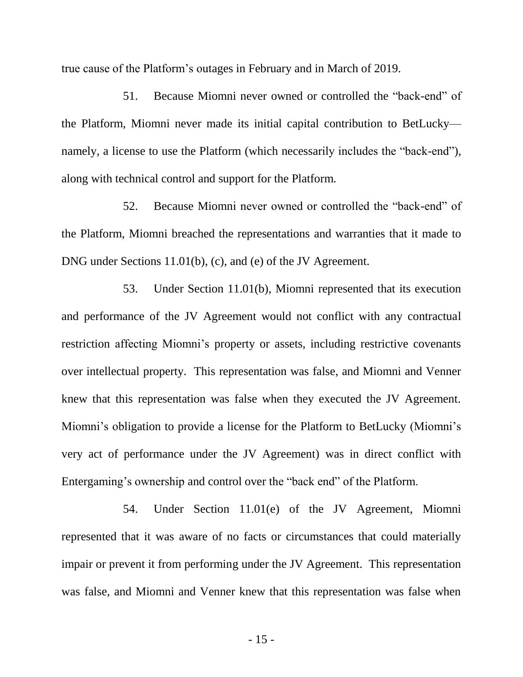true cause of the Platform's outages in February and in March of 2019.

51. Because Miomni never owned or controlled the "back-end" of the Platform, Miomni never made its initial capital contribution to BetLucky namely, a license to use the Platform (which necessarily includes the "back-end"), along with technical control and support for the Platform.

52. Because Miomni never owned or controlled the "back-end" of the Platform, Miomni breached the representations and warranties that it made to DNG under Sections 11.01(b), (c), and (e) of the JV Agreement.

53. Under Section 11.01(b), Miomni represented that its execution and performance of the JV Agreement would not conflict with any contractual restriction affecting Miomni's property or assets, including restrictive covenants over intellectual property. This representation was false, and Miomni and Venner knew that this representation was false when they executed the JV Agreement. Miomni's obligation to provide a license for the Platform to BetLucky (Miomni's very act of performance under the JV Agreement) was in direct conflict with Entergaming's ownership and control over the "back end" of the Platform.

54. Under Section 11.01(e) of the JV Agreement, Miomni represented that it was aware of no facts or circumstances that could materially impair or prevent it from performing under the JV Agreement. This representation was false, and Miomni and Venner knew that this representation was false when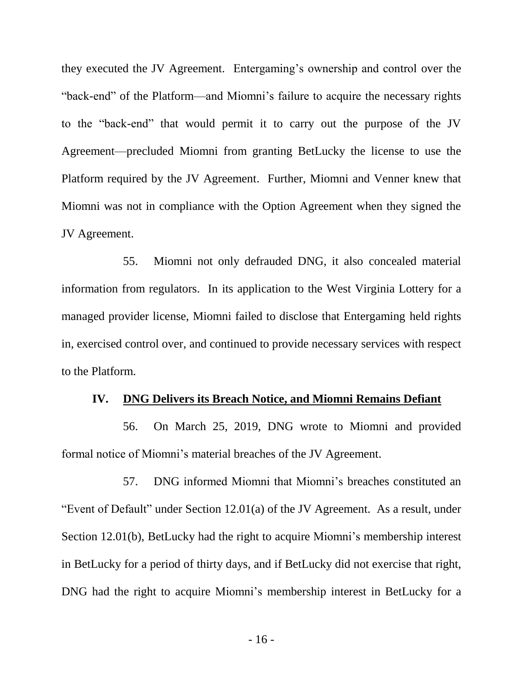they executed the JV Agreement. Entergaming's ownership and control over the "back-end" of the Platform—and Miomni's failure to acquire the necessary rights to the "back-end" that would permit it to carry out the purpose of the JV Agreement—precluded Miomni from granting BetLucky the license to use the Platform required by the JV Agreement. Further, Miomni and Venner knew that Miomni was not in compliance with the Option Agreement when they signed the JV Agreement.

55. Miomni not only defrauded DNG, it also concealed material information from regulators. In its application to the West Virginia Lottery for a managed provider license, Miomni failed to disclose that Entergaming held rights in, exercised control over, and continued to provide necessary services with respect to the Platform.

#### **IV. DNG Delivers its Breach Notice, and Miomni Remains Defiant**

56. On March 25, 2019, DNG wrote to Miomni and provided formal notice of Miomni's material breaches of the JV Agreement.

57. DNG informed Miomni that Miomni's breaches constituted an "Event of Default" under Section 12.01(a) of the JV Agreement. As a result, under Section 12.01(b), BetLucky had the right to acquire Miomni's membership interest in BetLucky for a period of thirty days, and if BetLucky did not exercise that right, DNG had the right to acquire Miomni's membership interest in BetLucky for a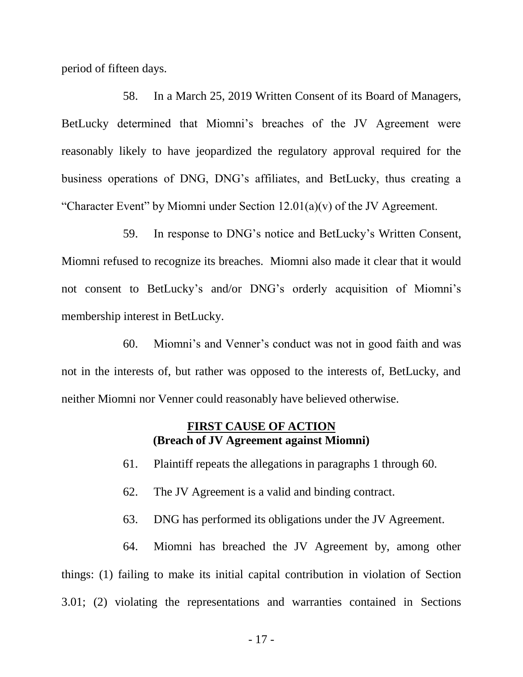period of fifteen days.

58. In a March 25, 2019 Written Consent of its Board of Managers, BetLucky determined that Miomni's breaches of the JV Agreement were reasonably likely to have jeopardized the regulatory approval required for the business operations of DNG, DNG's affiliates, and BetLucky, thus creating a "Character Event" by Miomni under Section  $12.01(a)(v)$  of the JV Agreement.

59. In response to DNG's notice and BetLucky's Written Consent, Miomni refused to recognize its breaches. Miomni also made it clear that it would not consent to BetLucky's and/or DNG's orderly acquisition of Miomni's membership interest in BetLucky.

60. Miomni's and Venner's conduct was not in good faith and was not in the interests of, but rather was opposed to the interests of, BetLucky, and neither Miomni nor Venner could reasonably have believed otherwise.

### **FIRST CAUSE OF ACTION (Breach of JV Agreement against Miomni)**

61. Plaintiff repeats the allegations in paragraphs 1 through 60.

- 62. The JV Agreement is a valid and binding contract.
- 63. DNG has performed its obligations under the JV Agreement.

64. Miomni has breached the JV Agreement by, among other things: (1) failing to make its initial capital contribution in violation of Section 3.01; (2) violating the representations and warranties contained in Sections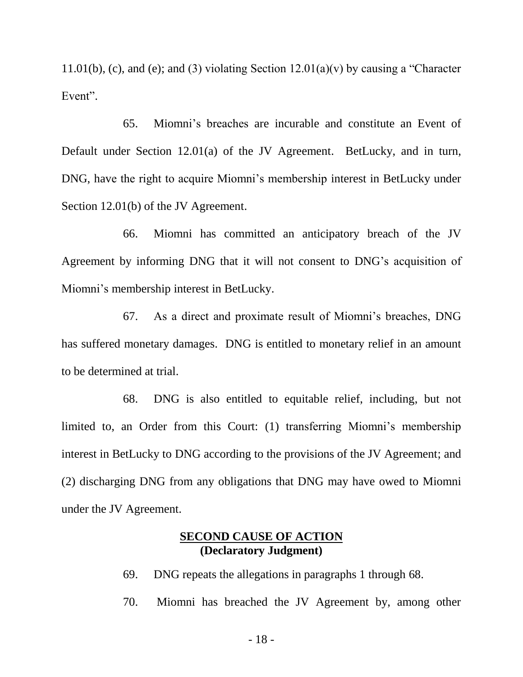11.01(b), (c), and (e); and (3) violating Section  $12.01(a)(v)$  by causing a "Character" Event".

65. Miomni's breaches are incurable and constitute an Event of Default under Section 12.01(a) of the JV Agreement. BetLucky, and in turn, DNG, have the right to acquire Miomni's membership interest in BetLucky under Section 12.01(b) of the JV Agreement.

66. Miomni has committed an anticipatory breach of the JV Agreement by informing DNG that it will not consent to DNG's acquisition of Miomni's membership interest in BetLucky.

67. As a direct and proximate result of Miomni's breaches, DNG has suffered monetary damages. DNG is entitled to monetary relief in an amount to be determined at trial.

68. DNG is also entitled to equitable relief, including, but not limited to, an Order from this Court: (1) transferring Miomni's membership interest in BetLucky to DNG according to the provisions of the JV Agreement; and (2) discharging DNG from any obligations that DNG may have owed to Miomni under the JV Agreement.

## **SECOND CAUSE OF ACTION (Declaratory Judgment)**

69. DNG repeats the allegations in paragraphs 1 through 68.

70. Miomni has breached the JV Agreement by, among other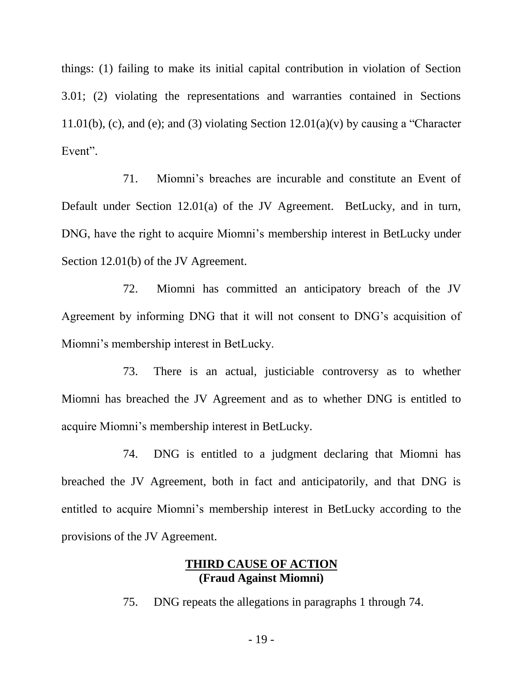things: (1) failing to make its initial capital contribution in violation of Section 3.01; (2) violating the representations and warranties contained in Sections 11.01(b), (c), and (e); and (3) violating Section  $12.01(a)(v)$  by causing a "Character" Event".

71. Miomni's breaches are incurable and constitute an Event of Default under Section 12.01(a) of the JV Agreement. BetLucky, and in turn, DNG, have the right to acquire Miomni's membership interest in BetLucky under Section 12.01(b) of the JV Agreement.

72. Miomni has committed an anticipatory breach of the JV Agreement by informing DNG that it will not consent to DNG's acquisition of Miomni's membership interest in BetLucky.

73. There is an actual, justiciable controversy as to whether Miomni has breached the JV Agreement and as to whether DNG is entitled to acquire Miomni's membership interest in BetLucky.

74. DNG is entitled to a judgment declaring that Miomni has breached the JV Agreement, both in fact and anticipatorily, and that DNG is entitled to acquire Miomni's membership interest in BetLucky according to the provisions of the JV Agreement.

### **THIRD CAUSE OF ACTION (Fraud Against Miomni)**

75. DNG repeats the allegations in paragraphs 1 through 74.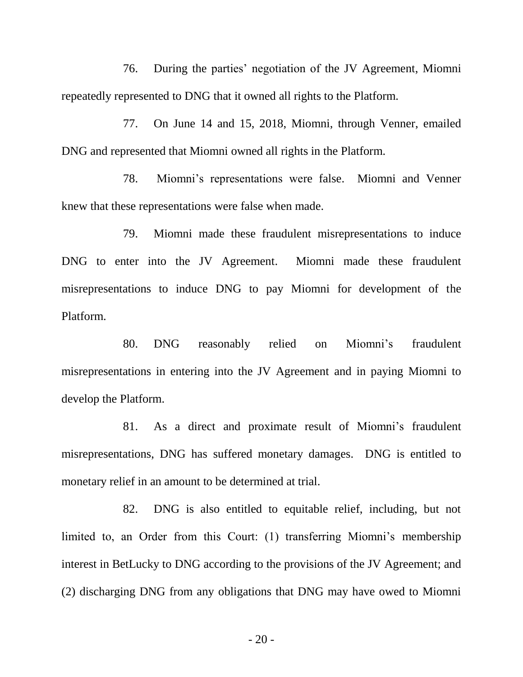76. During the parties' negotiation of the JV Agreement, Miomni repeatedly represented to DNG that it owned all rights to the Platform.

77. On June 14 and 15, 2018, Miomni, through Venner, emailed DNG and represented that Miomni owned all rights in the Platform.

78. Miomni's representations were false. Miomni and Venner knew that these representations were false when made.

79. Miomni made these fraudulent misrepresentations to induce DNG to enter into the JV Agreement. Miomni made these fraudulent misrepresentations to induce DNG to pay Miomni for development of the Platform.

80. DNG reasonably relied on Miomni's fraudulent misrepresentations in entering into the JV Agreement and in paying Miomni to develop the Platform.

81. As a direct and proximate result of Miomni's fraudulent misrepresentations, DNG has suffered monetary damages. DNG is entitled to monetary relief in an amount to be determined at trial.

82. DNG is also entitled to equitable relief, including, but not limited to, an Order from this Court: (1) transferring Miomni's membership interest in BetLucky to DNG according to the provisions of the JV Agreement; and (2) discharging DNG from any obligations that DNG may have owed to Miomni

- 20 -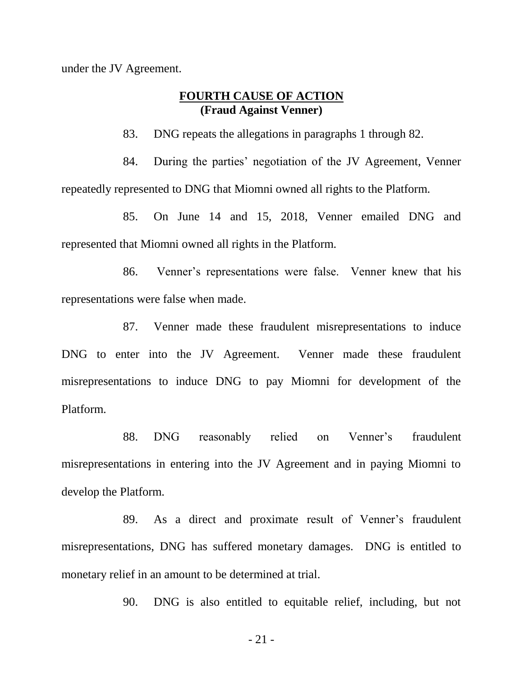under the JV Agreement.

## **FOURTH CAUSE OF ACTION (Fraud Against Venner)**

83. DNG repeats the allegations in paragraphs 1 through 82.

84. During the parties' negotiation of the JV Agreement, Venner repeatedly represented to DNG that Miomni owned all rights to the Platform.

85. On June 14 and 15, 2018, Venner emailed DNG and represented that Miomni owned all rights in the Platform.

86. Venner's representations were false. Venner knew that his representations were false when made.

87. Venner made these fraudulent misrepresentations to induce DNG to enter into the JV Agreement. Venner made these fraudulent misrepresentations to induce DNG to pay Miomni for development of the Platform.

88. DNG reasonably relied on Venner's fraudulent misrepresentations in entering into the JV Agreement and in paying Miomni to develop the Platform.

89. As a direct and proximate result of Venner's fraudulent misrepresentations, DNG has suffered monetary damages. DNG is entitled to monetary relief in an amount to be determined at trial.

90. DNG is also entitled to equitable relief, including, but not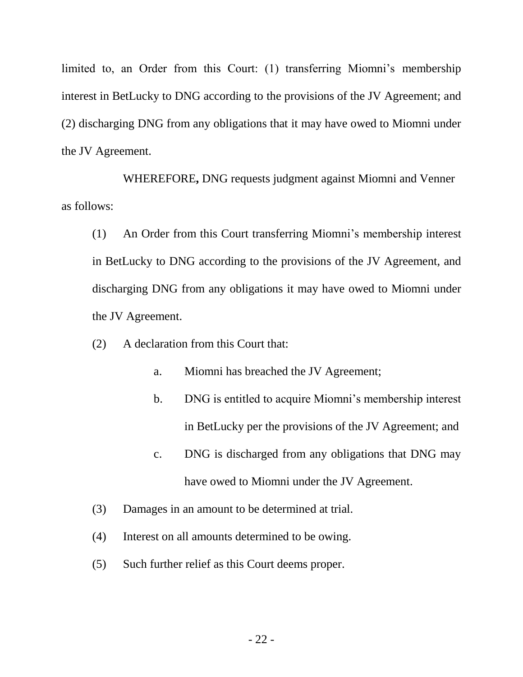limited to, an Order from this Court: (1) transferring Miomni's membership interest in BetLucky to DNG according to the provisions of the JV Agreement; and (2) discharging DNG from any obligations that it may have owed to Miomni under the JV Agreement.

WHEREFORE**,** DNG requests judgment against Miomni and Venner as follows:

(1) An Order from this Court transferring Miomni's membership interest in BetLucky to DNG according to the provisions of the JV Agreement, and discharging DNG from any obligations it may have owed to Miomni under the JV Agreement.

(2) A declaration from this Court that:

- a. Miomni has breached the JV Agreement;
- b. DNG is entitled to acquire Miomni's membership interest in BetLucky per the provisions of the JV Agreement; and
- c. DNG is discharged from any obligations that DNG may have owed to Miomni under the JV Agreement.
- (3) Damages in an amount to be determined at trial.
- (4) Interest on all amounts determined to be owing.
- (5) Such further relief as this Court deems proper.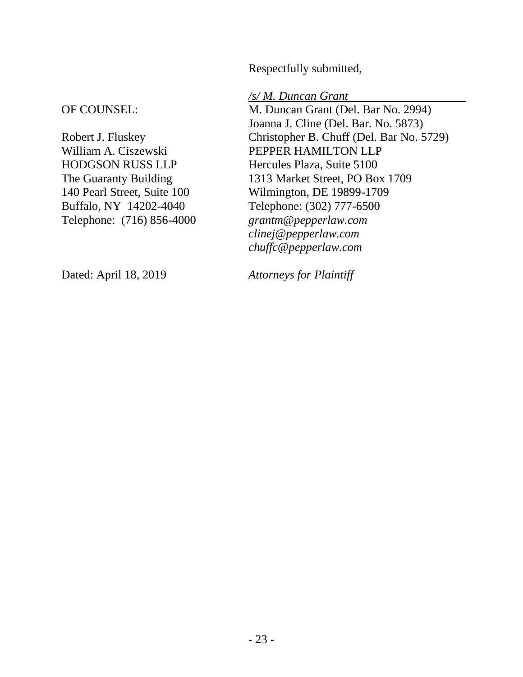Respectfully submitted,

### OF COUNSEL:

Robert J. Fluskey William A. Ciszewski HODGSON RUSS LLP The Guaranty Building 140 Pearl Street, Suite 100 Buffalo, NY 14202-4040 Telephone: (716) 856-4000 */s/ M. Duncan Grant* 

M. Duncan Grant (Del. Bar No. 2994) Joanna J. Cline (Del. Bar. No. 5873) Christopher B. Chuff (Del. Bar No. 5729) PEPPER HAMILTON LLP Hercules Plaza, Suite 5100 1313 Market Street, PO Box 1709 Wilmington, DE 19899-1709 Telephone: (302) 777-6500 *grantm@pepperlaw.com clinej@pepperlaw.com chuffc@pepperlaw.com*

Dated: April 18, 2019

*Attorneys for Plaintiff*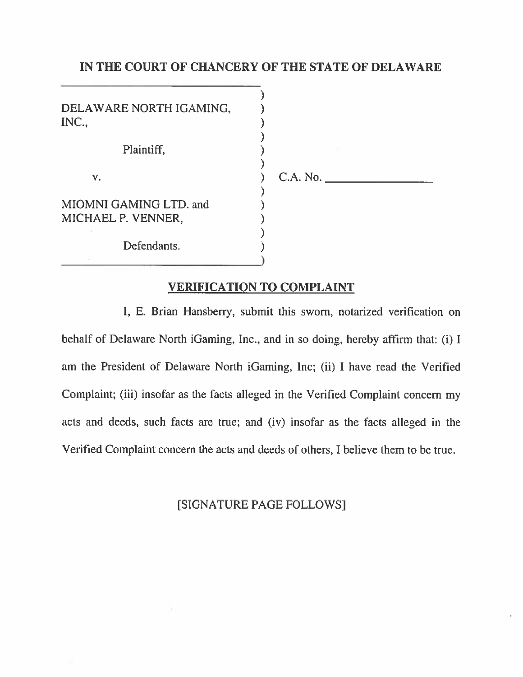#### IN THE COURT OF CHANCERY OF THE STATE OF DELAWARE

| MIOMNI GAMING LTD. and<br>MICHAEL P. VENNER, |  |  |
|----------------------------------------------|--|--|
| Defendants.                                  |  |  |

#### **VERIFICATION TO COMPLAINT**

I, E. Brian Hansberry, submit this sworn, notarized verification on behalf of Delaware North iGaming, Inc., and in so doing, hereby affirm that: (i) I am the President of Delaware North iGaming, Inc; (ii) I have read the Verified Complaint; (iii) insofar as the facts alleged in the Verified Complaint concern my acts and deeds, such facts are true; and (iv) insofar as the facts alleged in the Verified Complaint concern the acts and deeds of others, I believe them to be true.

[SIGNATURE PAGE FOLLOWS]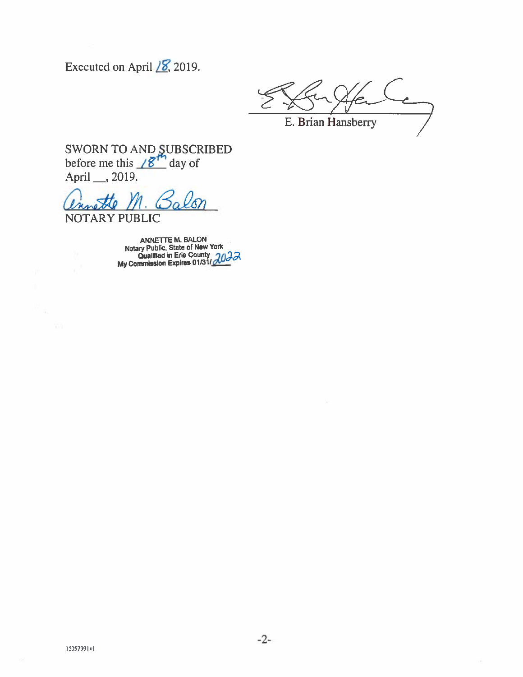Executed on April  $\sqrt{8}$ , 2019.

E. Brian Hansberry

SWORN TO AND SUBSCRIBED<br>before me this  $\angle \mathcal{B}^{th}$  day of April \_\_, 2019.

NOTARY PUBLIC

ANNETTE M. BALON<br>Notary Public, State of New York<br>Qualified in Erie County<br> $\frac{20}{3}$ <br>My Commission Expires 01/31/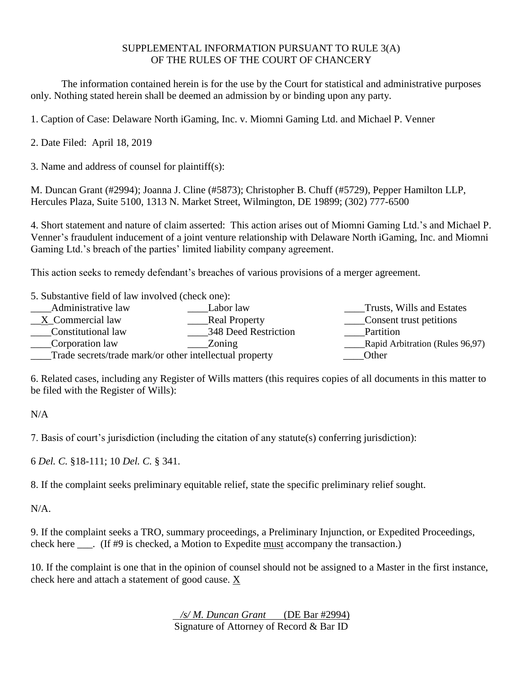#### SUPPLEMENTAL INFORMATION PURSUANT TO RULE 3(A) OF THE RULES OF THE COURT OF CHANCERY

The information contained herein is for the use by the Court for statistical and administrative purposes only. Nothing stated herein shall be deemed an admission by or binding upon any party.

1. Caption of Case: Delaware North iGaming, Inc. v. Miomni Gaming Ltd. and Michael P. Venner

2. Date Filed: April 18, 2019

3. Name and address of counsel for plaintiff(s):

M. Duncan Grant (#2994); Joanna J. Cline (#5873); Christopher B. Chuff (#5729), Pepper Hamilton LLP, Hercules Plaza, Suite 5100, 1313 N. Market Street, Wilmington, DE 19899; (302) 777-6500

4. Short statement and nature of claim asserted: This action arises out of Miomni Gaming Ltd.'s and Michael P. Venner's fraudulent inducement of a joint venture relationship with Delaware North iGaming, Inc. and Miomni Gaming Ltd.'s breach of the parties' limited liability company agreement.

This action seeks to remedy defendant's breaches of various provisions of a merger agreement.

| 5. Substantive field of law involved (check one): |                      |           |
|---------------------------------------------------|----------------------|-----------|
| Administrative law                                | Labor law            | Trusts, V |
| X Commercial law                                  | <b>Real Property</b> | Consent   |
| Constitutional law                                | 348 Deed Restriction | Partition |
| Corporation law                                   | Zoning               | Rapid Ar  |

\_\_\_\_Trade secrets/trade mark/or other intellectual property \_\_\_\_Other

usts, Wills and Estates nsent trust petitions pid Arbitration (Rules 96,97)

6. Related cases, including any Register of Wills matters (this requires copies of all documents in this matter to be filed with the Register of Wills):

N/A

7. Basis of court's jurisdiction (including the citation of any statute(s) conferring jurisdiction):

6 *Del. C.* §18-111; 10 *Del. C.* § 341.

8. If the complaint seeks preliminary equitable relief, state the specific preliminary relief sought.

N/A.

9. If the complaint seeks a TRO, summary proceedings, a Preliminary Injunction, or Expedited Proceedings, check here \_\_\_. (If #9 is checked, a Motion to Expedite must accompany the transaction.)

10. If the complaint is one that in the opinion of counsel should not be assigned to a Master in the first instance, check here and attach a statement of good cause. X

> */s/ M. Duncan Grant* (DE Bar #2994) Signature of Attorney of Record & Bar ID